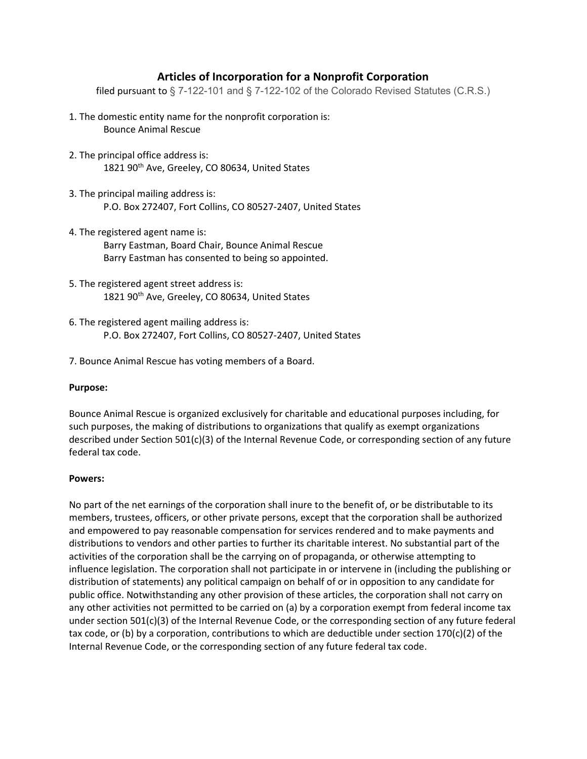## Articles of Incorporation for a Nonprofit Corporation

filed pursuant to § 7-122-101 and § 7-122-102 of the Colorado Revised Statutes (C.R.S.)

- 1. The domestic entity name for the nonprofit corporation is: Bounce Animal Rescue
- 2. The principal office address is: 1821 90<sup>th</sup> Ave, Greeley, CO 80634, United States
- 3. The principal mailing address is: P.O. Box 272407, Fort Collins, CO 80527-2407, United States
- 4. The registered agent name is: Barry Eastman, Board Chair, Bounce Animal Rescue Barry Eastman has consented to being so appointed.
- 5. The registered agent street address is: 1821 90<sup>th</sup> Ave, Greeley, CO 80634, United States
- 6. The registered agent mailing address is: P.O. Box 272407, Fort Collins, CO 80527-2407, United States
- 7. Bounce Animal Rescue has voting members of a Board.

## Purpose:

Bounce Animal Rescue is organized exclusively for charitable and educational purposes including, for such purposes, the making of distributions to organizations that qualify as exempt organizations described under Section 501(c)(3) of the Internal Revenue Code, or corresponding section of any future federal tax code.

## Powers:

No part of the net earnings of the corporation shall inure to the benefit of, or be distributable to its members, trustees, officers, or other private persons, except that the corporation shall be authorized and empowered to pay reasonable compensation for services rendered and to make payments and distributions to vendors and other parties to further its charitable interest. No substantial part of the activities of the corporation shall be the carrying on of propaganda, or otherwise attempting to influence legislation. The corporation shall not participate in or intervene in (including the publishing or distribution of statements) any political campaign on behalf of or in opposition to any candidate for public office. Notwithstanding any other provision of these articles, the corporation shall not carry on any other activities not permitted to be carried on (a) by a corporation exempt from federal income tax under section 501(c)(3) of the Internal Revenue Code, or the corresponding section of any future federal tax code, or (b) by a corporation, contributions to which are deductible under section 170(c)(2) of the Internal Revenue Code, or the corresponding section of any future federal tax code.